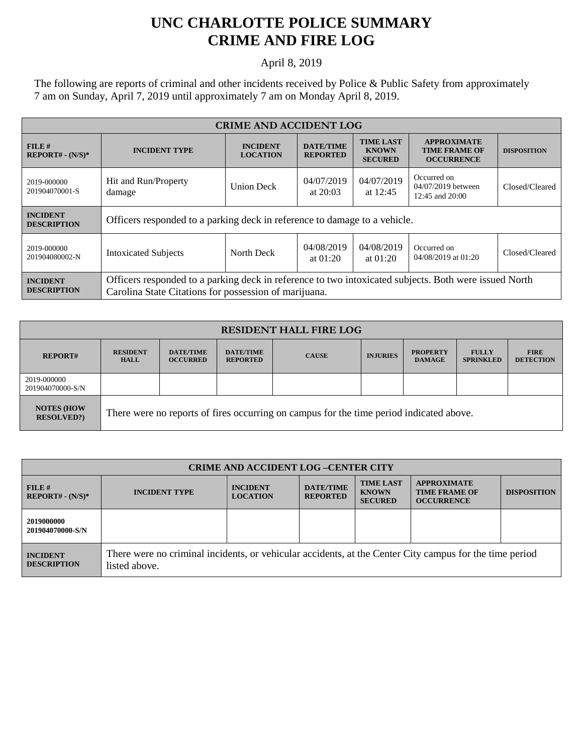## **UNC CHARLOTTE POLICE SUMMARY CRIME AND FIRE LOG**

April 8, 2019

The following are reports of criminal and other incidents received by Police & Public Safety from approximately 7 am on Sunday, April 7, 2019 until approximately 7 am on Monday April 8, 2019.

| <b>CRIME AND ACCIDENT LOG</b>         |                                                                                                                                                                |                                    |                                                                                           |                          |                                                                 |                    |
|---------------------------------------|----------------------------------------------------------------------------------------------------------------------------------------------------------------|------------------------------------|-------------------------------------------------------------------------------------------|--------------------------|-----------------------------------------------------------------|--------------------|
| $FILE$ #<br>$REPORT# - (N/S)*$        | <b>INCIDENT TYPE</b>                                                                                                                                           | <b>INCIDENT</b><br><b>LOCATION</b> | <b>TIME LAST</b><br><b>DATE/TIME</b><br><b>KNOWN</b><br><b>REPORTED</b><br><b>SECURED</b> |                          | <b>APPROXIMATE</b><br><b>TIME FRAME OF</b><br><b>OCCURRENCE</b> | <b>DISPOSITION</b> |
| 2019-000000<br>201904070001-S         | Hit and Run/Property<br>damage                                                                                                                                 | <b>Union Deck</b>                  | 04/07/2019<br>at $20:03$                                                                  | 04/07/2019<br>at 12:45   | Occurred on<br>04/07/2019 between<br>$12:45$ and $20:00$        | Closed/Cleared     |
| <b>INCIDENT</b><br><b>DESCRIPTION</b> | Officers responded to a parking deck in reference to damage to a vehicle.                                                                                      |                                    |                                                                                           |                          |                                                                 |                    |
| 2019-000000<br>201904080002-N         | <b>Intoxicated Subjects</b>                                                                                                                                    | North Deck                         | 04/08/2019<br>at $01:20$                                                                  | 04/08/2019<br>at $01:20$ | Occurred on<br>04/08/2019 at 01:20                              | Closed/Cleared     |
| <b>INCIDENT</b><br><b>DESCRIPTION</b> | Officers responded to a parking deck in reference to two intoxicated subjects. Both were issued North<br>Carolina State Citations for possession of marijuana. |                                    |                                                                                           |                          |                                                                 |                    |

| <b>RESIDENT HALL FIRE LOG</b>         |                                                                                         |                                     |                                     |              |                 |                                  |                                  |                                 |
|---------------------------------------|-----------------------------------------------------------------------------------------|-------------------------------------|-------------------------------------|--------------|-----------------|----------------------------------|----------------------------------|---------------------------------|
| <b>REPORT#</b>                        | <b>RESIDENT</b><br><b>HALL</b>                                                          | <b>DATE/TIME</b><br><b>OCCURRED</b> | <b>DATE/TIME</b><br><b>REPORTED</b> | <b>CAUSE</b> | <b>INJURIES</b> | <b>PROPERTY</b><br><b>DAMAGE</b> | <b>FULLY</b><br><b>SPRINKLED</b> | <b>FIRE</b><br><b>DETECTION</b> |
| 2019-000000<br>201904070000-S/N       |                                                                                         |                                     |                                     |              |                 |                                  |                                  |                                 |
| <b>NOTES (HOW</b><br><b>RESOLVED?</b> | There were no reports of fires occurring on campus for the time period indicated above. |                                     |                                     |              |                 |                                  |                                  |                                 |

| <b>CRIME AND ACCIDENT LOG-CENTER CITY</b> |                                                                                                                          |                                    |                                     |                                                    |                                                                 |                    |
|-------------------------------------------|--------------------------------------------------------------------------------------------------------------------------|------------------------------------|-------------------------------------|----------------------------------------------------|-----------------------------------------------------------------|--------------------|
| FILE#<br>$REPORT# - (N/S)*$               | <b>INCIDENT TYPE</b>                                                                                                     | <b>INCIDENT</b><br><b>LOCATION</b> | <b>DATE/TIME</b><br><b>REPORTED</b> | <b>TIME LAST</b><br><b>KNOWN</b><br><b>SECURED</b> | <b>APPROXIMATE</b><br><b>TIME FRAME OF</b><br><b>OCCURRENCE</b> | <b>DISPOSITION</b> |
| 2019000000<br>201904070000-S/N            |                                                                                                                          |                                    |                                     |                                                    |                                                                 |                    |
| <b>INCIDENT</b><br><b>DESCRIPTION</b>     | There were no criminal incidents, or vehicular accidents, at the Center City campus for the time period<br>listed above. |                                    |                                     |                                                    |                                                                 |                    |